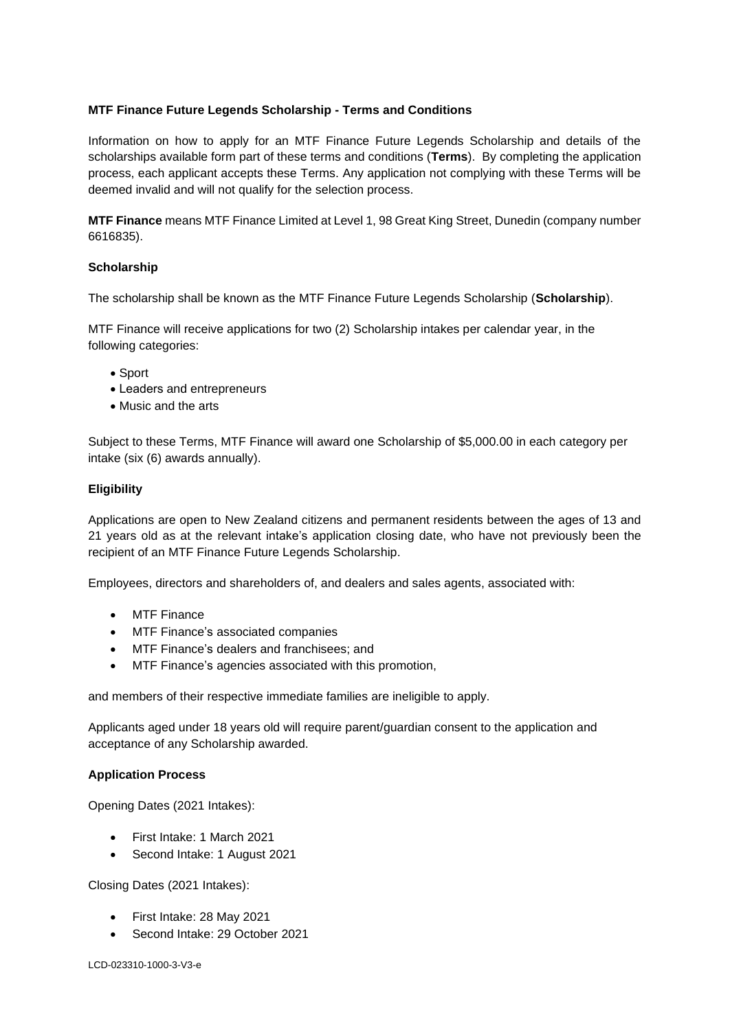# **MTF Finance Future Legends Scholarship - Terms and Conditions**

Information on how to apply for an MTF Finance Future Legends Scholarship and details of the scholarships available form part of these terms and conditions (**Terms**). By completing the application process, each applicant accepts these Terms. Any application not complying with these Terms will be deemed invalid and will not qualify for the selection process.

**MTF Finance** means MTF Finance Limited at Level 1, 98 Great King Street, Dunedin (company number 6616835).

## **Scholarship**

The scholarship shall be known as the MTF Finance Future Legends Scholarship (**Scholarship**).

MTF Finance will receive applications for two (2) Scholarship intakes per calendar year, in the following categories:

- Sport
- Leaders and entrepreneurs
- Music and the arts

Subject to these Terms, MTF Finance will award one Scholarship of \$5,000.00 in each category per intake (six (6) awards annually).

# **Eligibility**

Applications are open to New Zealand citizens and permanent residents between the ages of 13 and 21 years old as at the relevant intake's application closing date, who have not previously been the recipient of an MTF Finance Future Legends Scholarship.

Employees, directors and shareholders of, and dealers and sales agents, associated with:

- MTF Finance
- MTF Finance's associated companies
- MTF Finance's dealers and franchisees; and
- MTF Finance's agencies associated with this promotion,

and members of their respective immediate families are ineligible to apply.

Applicants aged under 18 years old will require parent/guardian consent to the application and acceptance of any Scholarship awarded.

## **Application Process**

Opening Dates (2021 Intakes):

- First Intake: 1 March 2021
- Second Intake: 1 August 2021

Closing Dates (2021 Intakes):

- First Intake: 28 May 2021
- Second Intake: 29 October 2021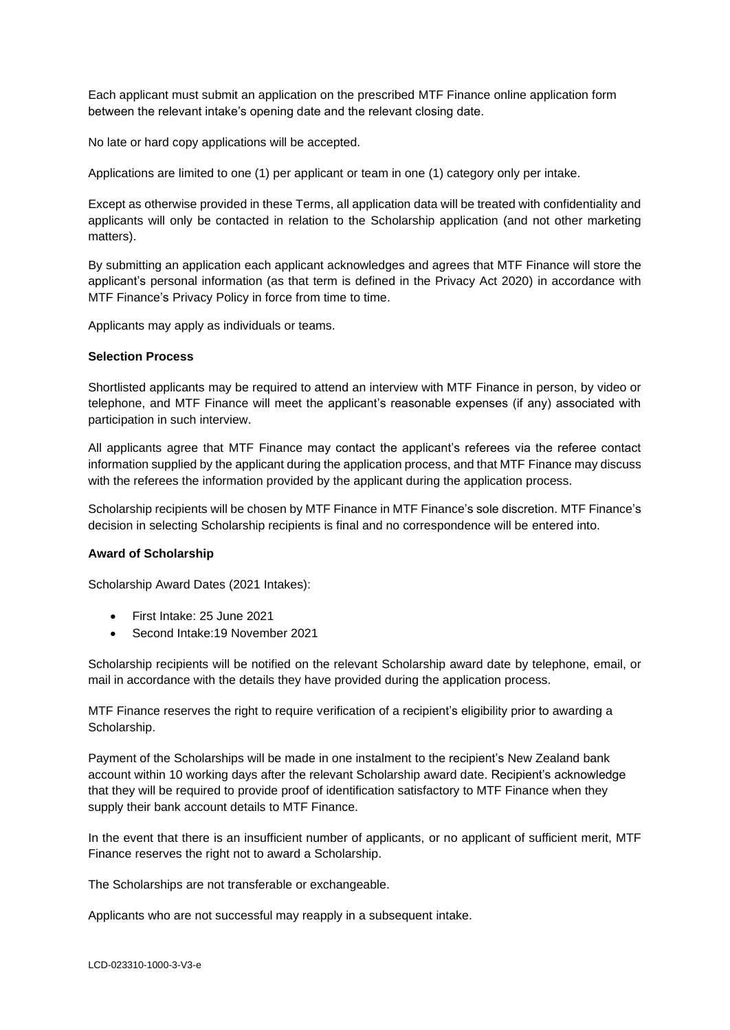Each applicant must submit an application on the prescribed MTF Finance online application form between the relevant intake's opening date and the relevant closing date.

No late or hard copy applications will be accepted.

Applications are limited to one (1) per applicant or team in one (1) category only per intake.

Except as otherwise provided in these Terms, all application data will be treated with confidentiality and applicants will only be contacted in relation to the Scholarship application (and not other marketing matters).

By submitting an application each applicant acknowledges and agrees that MTF Finance will store the applicant's personal information (as that term is defined in the Privacy Act 2020) in accordance with MTF Finance's Privacy Policy in force from time to time.

Applicants may apply as individuals or teams.

#### **Selection Process**

Shortlisted applicants may be required to attend an interview with MTF Finance in person, by video or telephone, and MTF Finance will meet the applicant's reasonable expenses (if any) associated with participation in such interview.

All applicants agree that MTF Finance may contact the applicant's referees via the referee contact information supplied by the applicant during the application process, and that MTF Finance may discuss with the referees the information provided by the applicant during the application process.

Scholarship recipients will be chosen by MTF Finance in MTF Finance's sole discretion. MTF Finance's decision in selecting Scholarship recipients is final and no correspondence will be entered into.

## **Award of Scholarship**

Scholarship Award Dates (2021 Intakes):

- First Intake: 25 June 2021
- Second Intake:19 November 2021

Scholarship recipients will be notified on the relevant Scholarship award date by telephone, email, or mail in accordance with the details they have provided during the application process.

MTF Finance reserves the right to require verification of a recipient's eligibility prior to awarding a Scholarship.

Payment of the Scholarships will be made in one instalment to the recipient's New Zealand bank account within 10 working days after the relevant Scholarship award date. Recipient's acknowledge that they will be required to provide proof of identification satisfactory to MTF Finance when they supply their bank account details to MTF Finance.

In the event that there is an insufficient number of applicants, or no applicant of sufficient merit, MTF Finance reserves the right not to award a Scholarship.

The Scholarships are not transferable or exchangeable.

Applicants who are not successful may reapply in a subsequent intake.